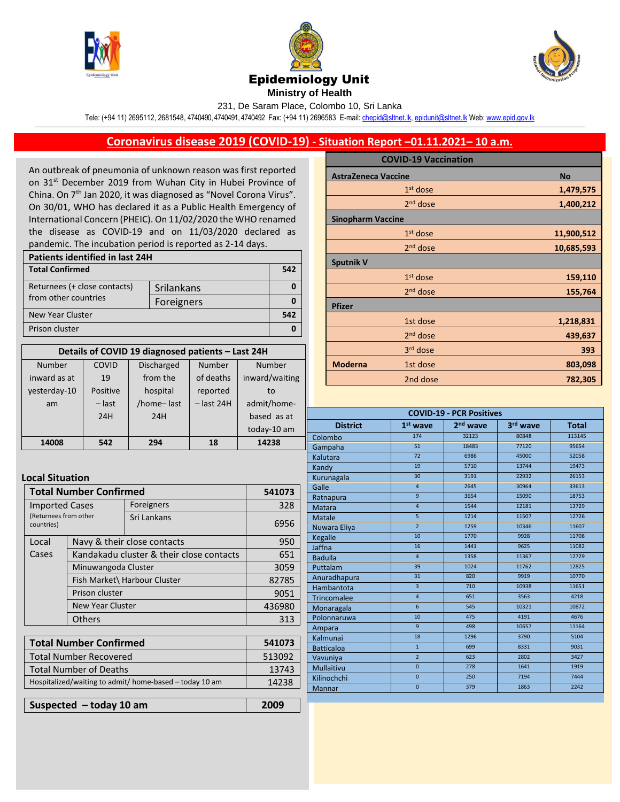





## Epidemiology Unit

**Ministry of Health** 

231, De Saram Place, Colombo 10, Sri Lanka

Tele: (+94 11) 2695112, 2681548, 4740490, 4740491, 4740492 Fax: (+94 11) 2696583 E-mail[: chepid@sltnet.lk,](mailto:chepi@sltnet.lk) [epidunit@sltnet.lk](mailto:epidunit@sltnet.lk) Web[: www.epid.gov.lk](http://www.epid.gov.lk/)

## **Coronavirus disease 2019 (COVID-19) - Situation Report –01.11.2021– 10 a.m.**

An outbreak of pneumonia of unknown reason was first reported on 31<sup>st</sup> December 2019 from Wuhan City in Hubei Province of China. On 7<sup>th</sup> Jan 2020, it was diagnosed as "Novel Corona Virus". On 30/01, WHO has declared it as a Public Health Emergency of International Concern (PHEIC). On 11/02/2020 the WHO renamed the disease as COVID-19 and on 11/03/2020 declared as pandemic. The incubation period is reported as 2-14 days.

| Patients identified in last 24H |            |     |  |
|---------------------------------|------------|-----|--|
| <b>Total Confirmed</b>          |            | 542 |  |
| Returnees (+ close contacts)    | Srilankans |     |  |
| from other countries            | Foreigners |     |  |
| New Year Cluster                |            |     |  |
| Prison cluster                  |            |     |  |

| Details of COVID 19 diagnosed patients - Last 24H |          |                   |              |                |
|---------------------------------------------------|----------|-------------------|--------------|----------------|
| Number                                            | COVID    | <b>Discharged</b> | Number       | Number         |
| inward as at                                      | 19       | from the          | of deaths    | inward/waiting |
| yesterday-10                                      | Positive | hospital          | reported     | to             |
| am                                                | $-$ last | /home-last        | $-$ last 24H | admit/home-    |
|                                                   | 24H      | 24H               |              | based as at    |
|                                                   |          |                   |              | today-10 am    |
| 14008                                             | 542      | 294               | 18           | 14238          |

## **Local Situation**

| <b>Total Number Confirmed</b>                                                                    |                                                | 541073                      |
|--------------------------------------------------------------------------------------------------|------------------------------------------------|-----------------------------|
|                                                                                                  | Foreigners                                     | 328                         |
|                                                                                                  | Sri Lankans                                    | 6956                        |
|                                                                                                  |                                                | 950                         |
| Kandakadu cluster & their close contacts                                                         |                                                | 651                         |
| Minuwangoda Cluster<br>Fish Market\ Harbour Cluster<br>Prison cluster<br><b>New Year Cluster</b> |                                                | 3059                        |
|                                                                                                  |                                                | 82785                       |
|                                                                                                  |                                                | 9051                        |
|                                                                                                  |                                                | 436980                      |
| <b>Others</b>                                                                                    |                                                | 313                         |
|                                                                                                  | <b>Imported Cases</b><br>(Returnees from other | Navy & their close contacts |

| <b>Total Number Confirmed</b>                           | 541073 |
|---------------------------------------------------------|--------|
| <b>Total Number Recovered</b>                           | 513092 |
| <b>Total Number of Deaths</b>                           | 13743  |
| Hospitalized/waiting to admit/ home-based - today 10 am | 14238  |
|                                                         |        |

**Suspected – today 10 am 2009**

|                            | <b>COVID-19 Vaccination</b> |            |
|----------------------------|-----------------------------|------------|
| <b>AstraZeneca Vaccine</b> |                             | <b>No</b>  |
|                            | $1st$ dose                  | 1,479,575  |
|                            | $2nd$ dose                  | 1,400,212  |
| <b>Sinopharm Vaccine</b>   |                             |            |
|                            | $1st$ dose                  | 11,900,512 |
|                            | $2nd$ dose                  | 10,685,593 |
| <b>Sputnik V</b>           |                             |            |
|                            | $1st$ dose                  | 159,110    |
|                            | 2 <sup>nd</sup> dose        | 155,764    |
| <b>Pfizer</b>              |                             |            |
|                            | 1st dose                    | 1,218,831  |
|                            | 2 <sup>nd</sup> dose        | 439,637    |
|                            | 3 <sup>rd</sup> dose        | 393        |
| <b>Moderna</b>             | 1st dose                    | 803,098    |
|                            | 2nd dose                    | 782,305    |

| <b>COVID-19 - PCR Positives</b> |                 |                      |          |              |
|---------------------------------|-----------------|----------------------|----------|--------------|
| <b>District</b>                 | $1st$ wave      | 2 <sup>nd</sup> wave | 3rd wave | <b>Total</b> |
| Colombo                         | 174             | 32123                | 80848    | 113145       |
| Gampaha                         | 51              | 18483                | 77120    | 95654        |
| Kalutara                        | 72              | 6986                 | 45000    | 52058        |
| Kandy                           | 19              | 5710                 | 13744    | 19473        |
| Kurunagala                      | 30              | 3191                 | 22932    | 26153        |
| Galle                           | $\overline{4}$  | 2645                 | 30964    | 33613        |
| Ratnapura                       | $\overline{9}$  | 3654                 | 15090    | 18753        |
| Matara                          | $\overline{4}$  | 1544                 | 12181    | 13729        |
| <b>Matale</b>                   | $\overline{5}$  | 1214                 | 11507    | 12726        |
| Nuwara Eliya                    | $\overline{2}$  | 1259                 | 10346    | 11607        |
| Kegalle                         | 10              | 1770                 | 9928     | 11708        |
| Jaffna                          | 16              | 1441                 | 9625     | 11082        |
| <b>Badulla</b>                  | $\overline{4}$  | 1358                 | 11367    | 12729        |
| Puttalam                        | 39              | 1024                 | 11762    | 12825        |
| Anuradhapura                    | 31              | 820                  | 9919     | 10770        |
| Hambantota                      | $\overline{3}$  | 710                  | 10938    | 11651        |
| Trincomalee                     | $\overline{4}$  | 651                  | 3563     | 4218         |
| Monaragala                      | $6\overline{6}$ | 545                  | 10321    | 10872        |
| Polonnaruwa                     | 10              | 475                  | 4191     | 4676         |
| Ampara                          | 9               | 498                  | 10657    | 11164        |
| Kalmunai                        | 18              | 1296                 | 3790     | 5104         |
| <b>Batticaloa</b>               | $\mathbf{1}$    | 699                  | 8331     | 9031         |
| Vavuniya                        | $\overline{2}$  | 623                  | 2802     | 3427         |
| Mullaitivu                      | $\mathbf{0}$    | 278                  | 1641     | 1919         |
| Kilinochchi                     | $\overline{0}$  | 250                  | 7194     | 7444         |
| <b>Mannar</b>                   | $\overline{0}$  | 379                  | 1863     | 2242         |